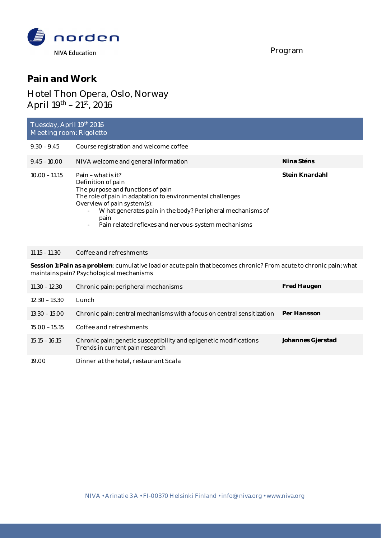

Program

### **Pain and Work**

# Hotel Thon Opera, Oslo, Norway April  $19^{th} - 21^{st}$ , 2016

| Tuesday, April 19th 2016<br>Meeting room: Rigoletto |                                                                                                                                                                                                                                                                                                                                                      |                |  |  |  |
|-----------------------------------------------------|------------------------------------------------------------------------------------------------------------------------------------------------------------------------------------------------------------------------------------------------------------------------------------------------------------------------------------------------------|----------------|--|--|--|
| $9.30 - 9.45$                                       | Course registration and welcome coffee                                                                                                                                                                                                                                                                                                               |                |  |  |  |
| $9.45 - 10.00$                                      | NIVA welcome and general information                                                                                                                                                                                                                                                                                                                 | Nina Sténs     |  |  |  |
| $10.00 - 11.15$                                     | Pain – what is it?<br>Definition of pain<br>The purpose and functions of pain<br>The role of pain in adaptation to environmental challenges<br>Overview of pain system(s):<br>What generates pain in the body? Peripheral mechanisms of<br>$\blacksquare$<br>pain<br>Pain related reflexes and nervous-system mechanisms<br>$\overline{\phantom{a}}$ | Stein Knardahl |  |  |  |

#### *11.15 – 11.30 Coffee and refreshments*

**Session 1: Pain as a problem**: cumulative load or acute pain that becomes chronic? From acute to chronic pain; what maintains pain? Psychological mechanisms

| $11.30 - 12.30$ | Chronic pain: peripheral mechanisms                                                                  | Fred Haugen       |
|-----------------|------------------------------------------------------------------------------------------------------|-------------------|
| $12.30 - 13.30$ | Lunch                                                                                                |                   |
| $13.30 - 15.00$ | Chronic pain: central mechanisms with a focus on central sensitization                               | Per Hansson       |
| $15.00 - 15.15$ | Coffee and refreshments                                                                              |                   |
| $15.15 - 16.15$ | Chronic pain: genetic susceptibility and epigenetic modifications<br>Trends in current pain research | Johannes Gjerstad |
| 19.00           | Dinner at the hotel, restaurant Scala                                                                |                   |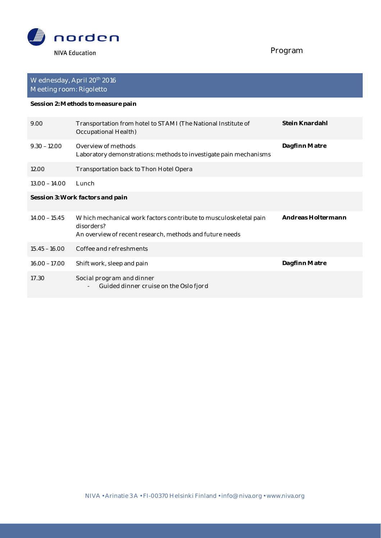

# Program

| Wednesday, April 20 <sup>th</sup> 2016<br>Meeting room: Rigoletto |                                                                                                                                            |                    |  |  |
|-------------------------------------------------------------------|--------------------------------------------------------------------------------------------------------------------------------------------|--------------------|--|--|
| Session 2: Methods to measure pain                                |                                                                                                                                            |                    |  |  |
| 9.00                                                              | Transportation from hotel to STAMI (The National Institute of<br>Occupational Health)                                                      | Stein Knardahl     |  |  |
| $9.30 - 12.00$                                                    | Overview of methods<br>Laboratory demonstrations: methods to investigate pain mechanisms                                                   | Dagfinn Matre      |  |  |
| 12.00                                                             | Transportation back to Thon Hotel Opera                                                                                                    |                    |  |  |
| $13.00 - 14.00$                                                   | Lunch                                                                                                                                      |                    |  |  |
| Session 3: Work factors and pain                                  |                                                                                                                                            |                    |  |  |
| $14.00 - 15.45$                                                   | Which mechanical work factors contribute to musculoskeletal pain<br>disorders?<br>An overview of recent research, methods and future needs | Andreas Holtermann |  |  |
| $15.45 - 16.00$                                                   | Coffee and refreshments                                                                                                                    |                    |  |  |
| $16.00 - 17.00$                                                   | Shift work, sleep and pain                                                                                                                 | Dagfinn Matre      |  |  |
| 17.30                                                             | Social program and dinner<br>Guided dinner cruise on the Oslo fjord                                                                        |                    |  |  |